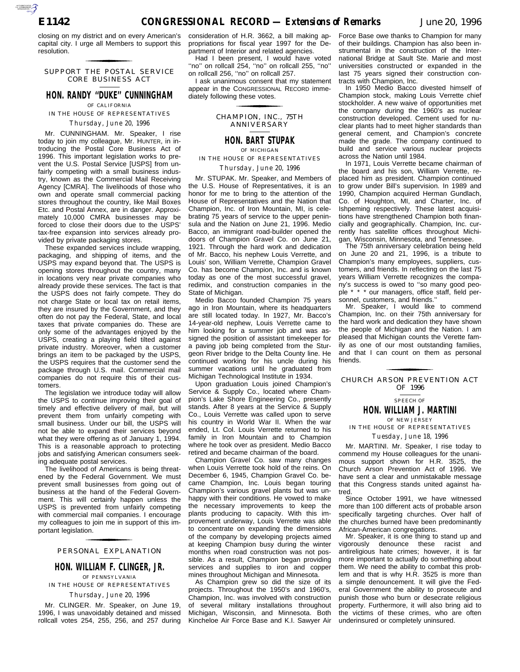closing on my district and on every American's capital city. I urge all Members to support this resolution. for the control of the control of

#### SUPPORT THE POSTAL SERVICE CORE BUSINESS ACT

## **HON. RANDY ''DUKE'' CUNNINGHAM** OF CALIFORNIA

IN THE HOUSE OF REPRESENTATIVES

## *Thursday, June 20, 1996*

Mr. CUNNINGHAM. Mr. Speaker, I rise today to join my colleague, Mr. HUNTER, in introducing the Postal Core Business Act of 1996. This important legislation works to prevent the U.S. Postal Service [USPS] from unfairly competing with a small business industry, known as the Commercial Mail Receiving Agency [CMRA]. The livelihoods of those who own and operate small commercial packing stores throughout the country, like Mail Boxes Etc. and Postal Annex, are in danger. Approximately 10,000 CMRA businesses may be forced to close their doors due to the USPS' tax-free expansion into services already provided by private packaging stores.

These expanded services include wrapping, packaging, and shipping of items, and the USPS may expand beyond that. The USPS is opening stores throughout the country, many in locations very near private companies who already provide these services. The fact is that the USPS does not fairly compete. They do not charge State or local tax on retail items, they are insured by the Government, and they often do not pay the Federal, State, and local taxes that private companies do. These are only some of the advantages enjoyed by the USPS, creating a playing field tilted against private industry. Moreover, when a customer brings an item to be packaged by the USPS, the USPS requires that the customer send the package through U.S. mail. Commercial mail companies do not require this of their customers.

The legislation we introduce today will allow the USPS to continue improving their goal of timely and effective delivery of mail, but will prevent them from unfairly competing with small business. Under our bill, the USPS will not be able to expand their services beyond what they were offering as of January 1, 1994. This is a reasonable approach to protecting jobs and satisfying American consumers seeking adequate postal services.

The livelihood of Americans is being threatened by the Federal Government. We must prevent small businesses from going out of business at the hand of the Federal Government. This will certainly happen unless the USPS is prevented from unfairly competing with commercial mail companies. I encourage my colleagues to join me in support of this important legislation.

## PERSONAL EXPLANATION for the control of the control of

## **HON. WILLIAM F. CLINGER, JR.** OF PENNSYLVANIA IN THE HOUSE OF REPRESENTATIVES

# *Thursday, June 20, 1996*

Mr. CLINGER. Mr. Speaker, on June 19, 1996, I was unavoidably detained and missed rollcall votes 254, 255, 256, and 257 during

consideration of H.R. 3662, a bill making appropriations for fiscal year 1997 for the Department of Interior and related agencies.

Had I been present, I would have voted ''no'' on rollcall 254, ''no'' on rollcall 255, ''no'' on rollcall 256, ''no'' on rollcall 257.

I ask unanimous consent that my statement appear in the CONGRESSIONAL RECORD immediately following these votes. for the contract of the contract of

> CHAMPION, INC., 75TH ANNIVERSARY

## **HON. BART STUPAK** OF MICHIGAN

IN THE HOUSE OF REPRESENTATIVES

## *Thursday, June 20, 1996*

Mr. STUPAK. Mr. Speaker, and Members of the U.S. House of Representatives, it is an honor for me to bring to the attention of the House of Representatives and the Nation that Champion, Inc. of Iron Mountain, MI, is celebrating 75 years of service to the upper peninsula and the Nation on June 21, 1996. Medio Bacco, an immigrant road-builder opened the doors of Champion Gravel Co. on June 21, 1921. Through the hard work and dedication of Mr. Bacco, his nephew Louis Verrette, and Louis' son, William Verrette, Champion Gravel Co. has become Champion, Inc. and is known today as one of the most successful gravel, redimix, and construction companies in the State of Michigan.

Medio Bacco founded Champion 75 years ago in Iron Mountain, where its headquarters are still located today. In 1927, Mr. Bacco's 14-year-old nephew, Louis Verrette came to him looking for a summer job and was assigned the position of assistant timekeeper for a paving job being completed from the Sturgeon River bridge to the Delta County line. He continued working for his uncle during his summer vacations until he graduated from Michigan Technological Institute in 1934.

Upon graduation Louis joined Champion's Service & Supply Co., located where Champion's Lake Shore Engineering Co., presently stands. After 8 years at the Service & Supply Co., Louis Verrette was called upon to serve his country in World War II. When the war ended, Lt. Col. Louis Verrette returned to his family in Iron Mountain and to Champion where he took over as president. Medio Bacco retired and became chairman of the board.

Champion Gravel Co. saw many changes when Louis Verrette took hold of the reins. On December 6, 1945, Champion Gravel Co. became Champion, Inc. Louis began touring Champion's various gravel plants but was unhappy with their conditions. He vowed to make the necessary improvements to keep the plants producing to capacity. With this improvement underway, Louis Verrette was able to concentrate on expanding the dimensions of the company by developing projects aimed at keeping Champion busy during the winter months when road construction was not possible. As a result, Champion began providing services and supplies to iron and copper mines throughout Michigan and Minnesota.

As Champion grew so did the size of its projects. Throughout the 1950's and 1960's, Champion, Inc. was involved with construction of several military installations throughout Michigan, Wisconsin, and Minnesota. Both Kincheloe Air Force Base and K.I. Sawyer Air

Force Base owe thanks to Champion for many of their buildings. Champion has also been instrumental in the construction of the International Bridge at Sault Ste. Marie and most universities constructed or expanded in the last 75 years signed their construction contracts with Champion, Inc.

In 1950 Medio Bacco divested himself of Champion stock, making Louis Verrette chief stockholder. A new waive of opportunities met the company during the 1960's as nuclear construction developed. Cement used for nuclear plants had to meet higher standards than general cement, and Champion's concrete made the grade. The company continued to build and service various nuclear projects across the Nation until 1984.

In 1971, Louis Verrette became chairman of the board and his son, William Verrette, replaced him as president. Champion continued to grow under Bill's supervision. In 1989 and 1990, Champion acquired Herman Gundlach, Co. of Houghton, MI, and Charter, Inc. of Ishpeming respectively. These latest acquisitions have strengthened Champion both financially and geographically. Champion, Inc. currently has satellite offices throughout Michigan, Wisconsin, Minnesota, and Tennessee.

The 75th anniversary celebration being held on June 20 and 21, 1996, is a tribute to Champion's many employees, suppliers, customers, and friends. In reflecting on the last 75 years William Verrette recognizes the company's success is owed to ''so many good people \* \* \* our managers, office staff, field personnel, customers, and friends.''

Mr. Speaker, I would like to commend Champion, Inc. on their 75th anniversary for the hard work and dedication they have shown the people of Michigan and the Nation. I am pleased that Michigan counts the Verette family as one of our most outstanding families, and that I can count on them as personal friends.

## CHURCH ARSON PREVENTION ACT for the control of the control of OF 1996

## SPEECH OF

**HON. WILLIAM J. MARTINI**

#### OF NEW JERSEY IN THE HOUSE OF REPRESENTATIVES

*Tuesday, June 18, 1996*

Mr. MARTINI. Mr. Speaker, I rise today to commend my House colleagues for the unanimous support shown for H.R. 3525, the Church Arson Prevention Act of 1996. We have sent a clear and unmistakable message that this Congress stands united against hatred.

Since October 1991, we have witnessed more than 100 different acts of probable arson specifically targeting churches. Over half of the churches burned have been predominantly African-American congregations.

Mr. Speaker, it is one thing to stand up and vigorously denounce these racist and antireligious hate crimes; however, it is far more important to actually do something about them. We need the ability to combat this problem and that is why H.R. 3525 is more than a simple denouncement. It will give the Federal Government the ability to prosecute and punish those who burn or desecrate religious property. Furthermore, it will also bring aid to the victims of these crimes, who are often underinsured or completely uninsured.